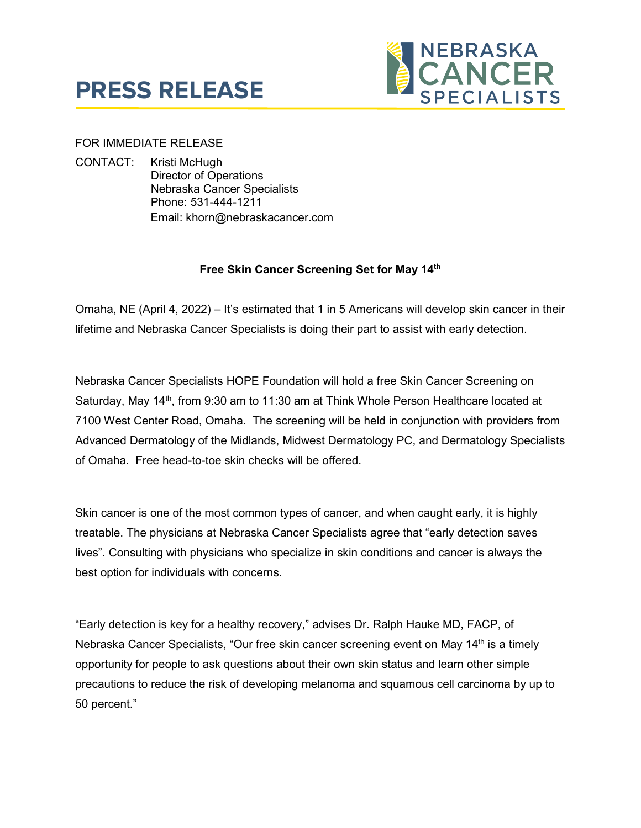



## FOR IMMEDIATE RELEASE

CONTACT: Kristi McHugh Director of Operations Nebraska Cancer Specialists Phone: 531-444-1211 Email: khorn@nebraskacancer.com

## **Free Skin Cancer Screening Set for May 14th**

Omaha, NE (April 4, 2022) – It's estimated that 1 in 5 Americans will develop skin cancer in their lifetime and Nebraska Cancer Specialists is doing their part to assist with early detection.

Nebraska Cancer Specialists HOPE Foundation will hold a free Skin Cancer Screening on Saturday, May 14<sup>th</sup>, from 9:30 am to 11:30 am at Think Whole Person Healthcare located at 7100 West Center Road, Omaha. The screening will be held in conjunction with providers from Advanced Dermatology of the Midlands, Midwest Dermatology PC, and Dermatology Specialists of Omaha. Free head-to-toe skin checks will be offered.

Skin cancer is one of the most common types of cancer, and when caught early, it is highly treatable. The physicians at Nebraska Cancer Specialists agree that "early detection saves lives". Consulting with physicians who specialize in skin conditions and cancer is always the best option for individuals with concerns.

"Early detection is key for a healthy recovery," advises Dr. Ralph Hauke MD, FACP, of Nebraska Cancer Specialists, "Our free skin cancer screening event on May 14<sup>th</sup> is a timely opportunity for people to ask questions about their own skin status and learn other simple precautions to reduce the risk of developing melanoma and squamous cell carcinoma by up to 50 percent."